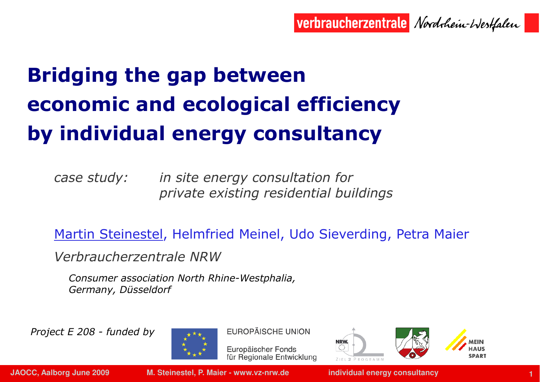verbraucherzentrale Nordrhein-Westfalen

# Bridging the gap between economic and ecological efficiency by individual energy consultancy

case study: in site energy consultation for private existing residential buildings

Martin Steinestel, Helmfried Meinel, Udo Sieverding, Petra Maier

Verbraucherzentrale NRW

 Consumer association North Rhine-Westphalia, Germany, Düsseldorf

Project E 208 - funded by



**EUROPÄISCHE UNION** 

Europäischer Fonds für Regionale Entwicklung



**JAOCC, Aalborg June 2009 M. Steinestel, P. Maier - www.vz-nrw.de individual energy consultancy**

**<sup>1</sup>**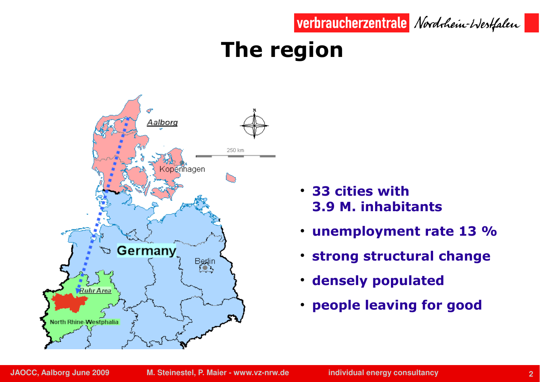

### The region



- 33 cities with 3.9 M. inhabitants
- $\bullet$ unemployment rate 13 %
- ●strong structural change
- $\bullet$ densely populated
- people leaving for good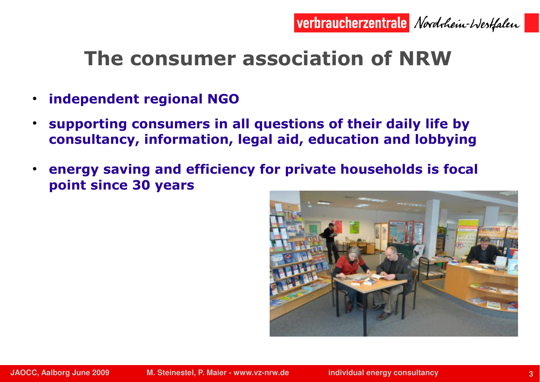

### The consumer association of NRW

- ●independent regional NGO
- ● supporting consumers in all questions of their daily life by consultancy, information, legal aid, education and lobbying
- $\bullet$  energy saving and efficiency for private households is focal point since 30 years

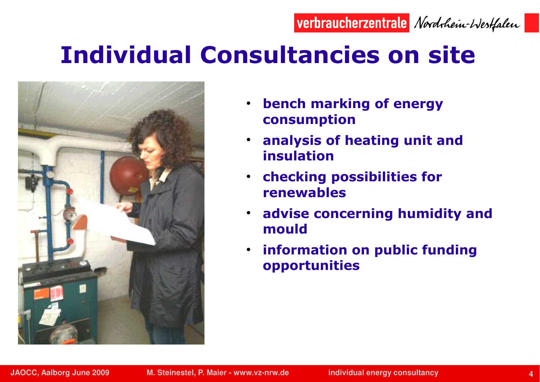#### verbraucherzentrale Nordrhein-Westfalen

# Individual Consultancies on site



- $\bullet$  bench marking of energy consumption
- $\bullet$  analysis of heating unit and insulation
- $\cdot$  checking possibilities for renewables
- $\bullet$  advise concerning humidity and mould
- $\bullet$  information on public funding opportunities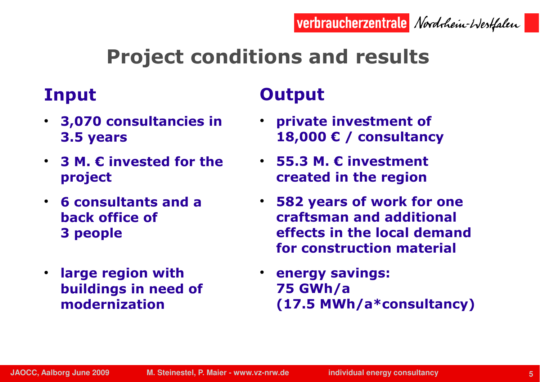## Project conditions and results

#### Input

- 3,070 consultancies in 3.5 years
- $\bullet$  3 M.  $\epsilon$  invested for the project
- 6 consultants and a back office of 3 people
- large region with buildings in need of modernization

### **Output**

- private investment of 18,000 € / consultancy
- 55.3 M.  $\epsilon$  investment created in the region
- 582 years of work for one craftsman and additional effects in the local demand for construction material
- energy savings: 75 GWh/a (17.5 MWh/a\*consultancy)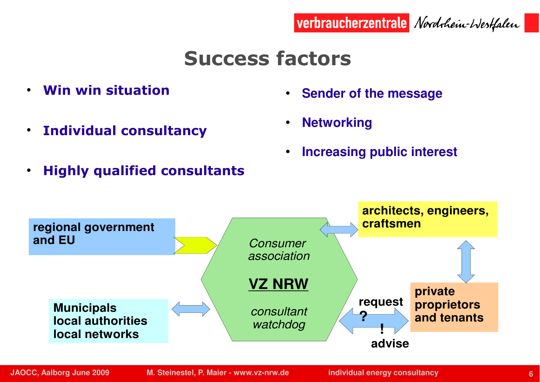

●**Increasing public interest**

**Sender of the message**

verbraucherzentrale Nordrhein-Westfalen



Success factors

●

●

Win win situation

●

- ●Individual consultancy
- ●Highly qualified consultants